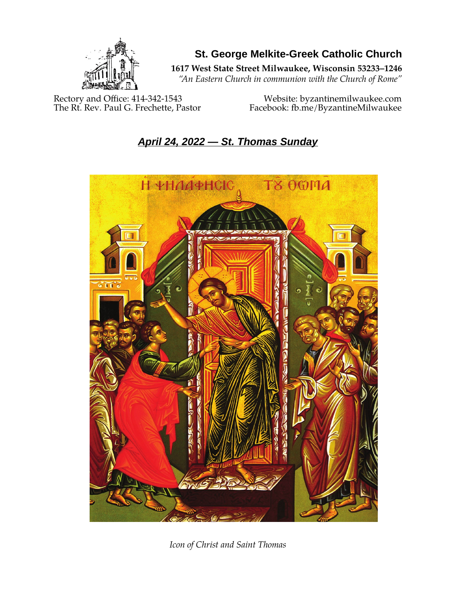

**St. George Melkite-Greek Catholic Church**

**1617 West State Street Milwaukee, Wisconsin 53233–1246**

*"An Eastern Church in communion with the Church of Rome"*

Rectory and Office: 414-342-1543 Website: [byzantinemilwaukee.com](https://byzantinemilwaukee.com/)

The Rt. Rev. Paul G. Frechette, Pastor Facebook: fb.me/ByzantineMilwaukee

# *April 24, 2022 — St. Thomas Sunday*



*Icon of Christ and Saint Thomas*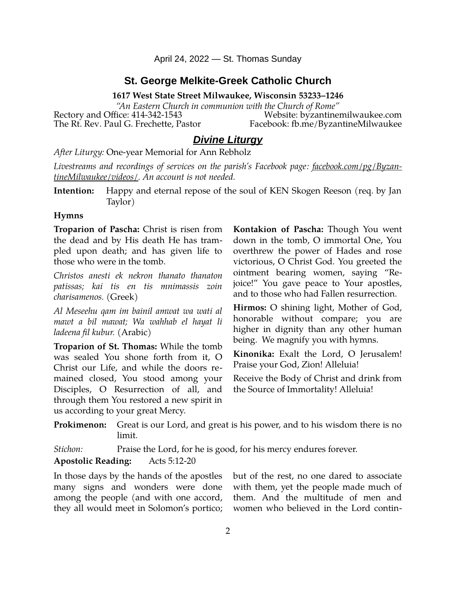April 24, 2022 — St. Thomas Sunday

## **St. George Melkite-Greek Catholic Church**

**1617 West State Street Milwaukee, Wisconsin 53233–1246**

*"An Eastern Church in communion with the Church of Rome"* Rectory and Office: 414-342-1543 Website: [byzantinemilwaukee.com](https://byzantinemilwaukee.com/)

The Rt. Rev. Paul G. Frechette, Pastor Facebook: fb.me/ByzantineMilwaukee

# *Divine Liturgy*

*After Liturgy:* One-year Memorial for Ann Rebholz

*Livestreams and recordings of services on the parish's Facebook page: [facebook.com/pg/Byzan](https://www.facebook.com/pg/ByzantineMilwaukee/videos/)[tineMilwaukee/videos/.](https://www.facebook.com/pg/ByzantineMilwaukee/videos/) An account is not needed.*

**Intention:** Happy and eternal repose of the soul of KEN Skogen Reeson (req. by Jan Taylor)

#### **Hymns**

**Troparion of Pascha:** Christ is risen from the dead and by His death He has trampled upon death; and has given life to those who were in the tomb.

*Christos anesti ek nekron thanato thanaton patissas; kai tis en tis mnimassis zoin charisamenos.* (Greek)

*Al Meseehu qam im bainil amwat wa wati al mawt a bil mawat; Wa wahhab el hayat li ladeena fil kubur.* (Arabic)

**Troparion of St. Thomas:** While the tomb was sealed You shone forth from it, O Christ our Life, and while the doors remained closed, You stood among your Disciples, O Resurrection of all, and through them You restored a new spirit in us according to your great Mercy.

**Kontakion of Pascha:** Though You went down in the tomb, O immortal One, You overthrew the power of Hades and rose victorious, O Christ God. You greeted the ointment bearing women, saying "Rejoice!" You gave peace to Your apostles, and to those who had Fallen resurrection.

**Hirmos:** O shining light, Mother of God, honorable without compare; you are higher in dignity than any other human being. We magnify you with hymns.

**Kinonika:** Exalt the Lord, O Jerusalem! Praise your God, Zion! Alleluia!

Receive the Body of Christ and drink from the Source of Immortality! Alleluia!

**Prokimenon:** Great is our Lord, and great is his power, and to his wisdom there is no limit.

*Stichon:* Praise the Lord, for he is good, for his mercy endures forever.

#### **Apostolic Reading:** Acts 5:12-20

In those days by the hands of the apostles many signs and wonders were done among the people (and with one accord, they all would meet in Solomon's portico; but of the rest, no one dared to associate with them, yet the people made much of them. And the multitude of men and women who believed in the Lord contin-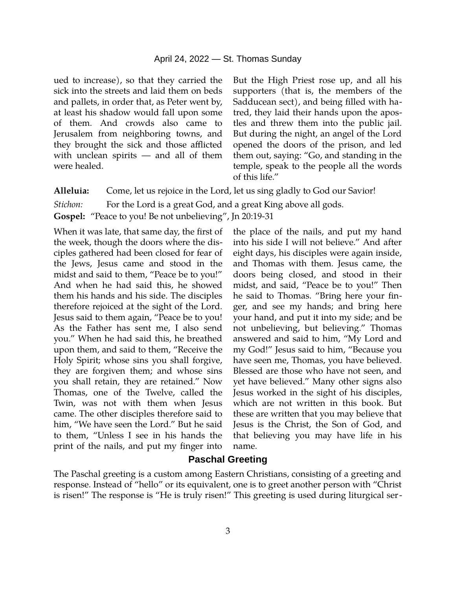#### April 24, 2022 — St. Thomas Sunday

ued to increase), so that they carried the sick into the streets and laid them on beds and pallets, in order that, as Peter went by, at least his shadow would fall upon some of them. And crowds also came to Jerusalem from neighboring towns, and they brought the sick and those afflicted with unclean spirits — and all of them were healed.

But the High Priest rose up, and all his supporters (that is, the members of the Sadducean sect), and being filled with hatred, they laid their hands upon the apostles and threw them into the public jail. But during the night, an angel of the Lord opened the doors of the prison, and led them out, saying: "Go, and standing in the temple, speak to the people all the words of this life."

**Alleluia:** Come, let us rejoice in the Lord, let us sing gladly to God our Savior!

*Stichon:* For the Lord is a great God, and a great King above all gods.

**Gospel:** "Peace to you! Be not unbelieving", Jn 20:19-31

When it was late, that same day, the first of the week, though the doors where the disciples gathered had been closed for fear of the Jews, Jesus came and stood in the midst and said to them, "Peace be to you!" And when he had said this, he showed them his hands and his side. The disciples therefore rejoiced at the sight of the Lord. Jesus said to them again, "Peace be to you! As the Father has sent me, I also send you." When he had said this, he breathed upon them, and said to them, "Receive the Holy Spirit; whose sins you shall forgive, they are forgiven them; and whose sins you shall retain, they are retained." Now Thomas, one of the Twelve, called the Twin, was not with them when Jesus came. The other disciples therefore said to him, "We have seen the Lord." But he said to them, "Unless I see in his hands the print of the nails, and put my finger into

the place of the nails, and put my hand into his side I will not believe." And after eight days, his disciples were again inside, and Thomas with them. Jesus came, the doors being closed, and stood in their midst, and said, "Peace be to you!" Then he said to Thomas. "Bring here your finger, and see my hands; and bring here your hand, and put it into my side; and be not unbelieving, but believing." Thomas answered and said to him, "My Lord and my God!" Jesus said to him, "Because you have seen me, Thomas, you have believed. Blessed are those who have not seen, and yet have believed." Many other signs also Jesus worked in the sight of his disciples, which are not written in this book. But these are written that you may believe that Jesus is the Christ, the Son of God, and that believing you may have life in his name.

#### **Paschal Greeting**

The Paschal greeting is a custom among Eastern Christians, consisting of a greeting and response. Instead of "hello" or its equivalent, one is to greet another person with "Christ is risen!" The response is "He is truly risen!" This greeting is used during liturgical ser-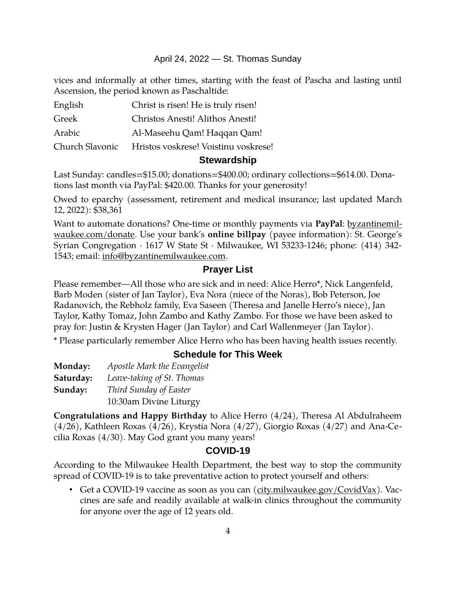#### April 24, 2022 — St. Thomas Sunday

vices and informally at other times, starting with the feast of Pascha and lasting until Ascension, the period known as Paschaltide:

| English         | Christ is risen! He is truly risen!  |
|-----------------|--------------------------------------|
| Greek           | Christos Anesti! Alithos Anesti!     |
| Arabic          | Al-Maseehu Qam! Haqqan Qam!          |
| Church Slavonic | Hristos voskrese! Voistinu voskrese! |

#### **Stewardship**

Last Sunday: candles=\$15.00; donations=\$400.00; ordinary collections=\$614.00. Donations last month via PayPal: \$420.00. Thanks for your generosity!

Owed to eparchy (assessment, retirement and medical insurance; last updated March 12, 2022): \$38,361

Want to automate donations? One-time or monthly payments via **PayPal**: [byzantinemil](https://byzantinemilwaukee.com/donate/)[waukee.com/donate.](https://byzantinemilwaukee.com/donate/) Use your bank's **online billpay** (payee information): St. George's Syrian Congregation · 1617 W State St · Milwaukee, WI 53233-1246; phone: (414) 342- 1543; email: [info@byzantinemilwaukee.com](mailto:info@byzantinemilwaukee.com).

## **Prayer List**

Please remember—All those who are sick and in need: Alice Herro\*, Nick Langenfeld, Barb Moden (sister of Jan Taylor), Eva Nora (niece of the Noras), Bob Peterson, Joe Radanovich, the Rebholz family, Eva Saseen (Theresa and Janelle Herro's niece), Jan Taylor, Kathy Tomaz, John Zambo and Kathy Zambo. For those we have been asked to pray for: Justin & Krysten Hager (Jan Taylor) and Carl Wallenmeyer (Jan Taylor).

\* Please particularly remember Alice Herro who has been having health issues recently.

## **Schedule for This Week**

| Monday:   | Apostle Mark the Evangelist |
|-----------|-----------------------------|
| Saturday: | Leave-taking of St. Thomas  |
| Sunday:   | Third Sunday of Easter      |
|           | 10:30am Divine Liturgy      |

**Congratulations and Happy Birthday** to Alice Herro (4/24), Theresa Al Abdulraheem (4/26), Kathleen Roxas (4/26), Krystia Nora (4/27), Giorgio Roxas (4/27) and Ana-Cecilia Roxas (4/30). May God grant you many years!

## **[COVID-19](mailto:j1ordan2000@yahoo.com)**

According to the Milwaukee Health Department, the best way to stop the community spread of COVID-19 is to take preventative action to protect yourself and others:

• Get a COVID-19 vaccine as soon as you can [\(city.milwaukee.gov/CovidVax\)](https://city.milwaukee.gov/CovidVax). Vaccines are safe and readily available at walk-in clinics throughout the community for anyone over the age of 12 years old.